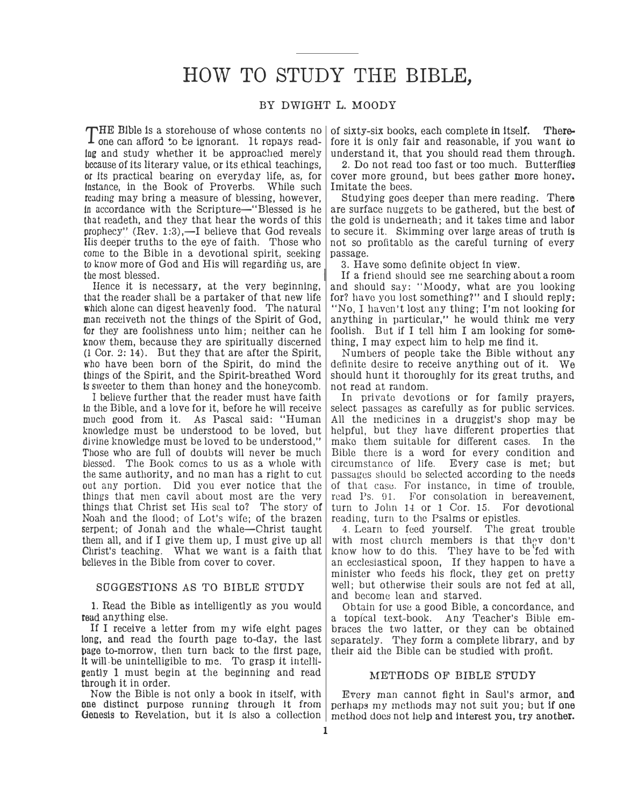## HOW TO STUDY THE BIBLE,

## BY DWIGHT L. MOODY

one can afford �o te ignorant. It repays read-Ing and study whether it be approached merely because of its literary value, or its ethical teachings, or Its practical bearing on everyday life, as, for Instance, in the Book of Proverbs. While such reading may bring a measure of blessing, however, In accordance with the Scripture—"Blessed is he that readeth, and they that hear the words of this prophecy" (Rev. 1:3),—I believe that God reveals His deeper truths to the eye of faith. Those who come to the Bible in a devotional spirit, seeking to know more of God and His will regarding us, are the most blessed.

Hence it is necessary, at the very beginning, that the reader shall be a partaker of that new life which alone can digest heavenly food. The natural man receiveth not the things of the Spirit of God, for they are foolishness unto him; neither can he know them, because they are spiritually discerned (1 Cor. 2: 14). But they that are after the Spirit, who have been born of the Spirit, do mind the things of the Spirit, and the Spirit-breathed Word ls sweeter to them than honey and the honeycomb.

I believe further that the reader must have faith In the Bible, and a love for it, before he will receive much good from it. As Pascal said: "Human knowledge must be understood to be loved, but divine knowledge must be loved to be understood," Those who are full of doubts will never be much blessed. The Book comes to us as a whole with the same authority, and no man has a right to cut out any portion. Did you ever notice that the things that men cavil about most are the very things that Christ set His seal to? The story of Noah and the flood; of Lot's wife; of the brazen serpent; of Jonah and the whale-Christ taught them all, and if I give them up, I must give up all Christ's teaching. What we want is a faith that believes in the Bible from cover to cover.

## SUGGESTIONS AS TO BIBLE STUDY

1. Read the Bible as intelligently as you would read anything else.

If I receive a letter from my wife eight pages long, and read the fourth page to-day, the last bage to-morrow, then turn back to the first page, It will-be unintelligible to me. To grasp it intelligently 1 must begin at the beginning and read through it in order.

Now the Bible is not only a book in itself, with one distinct purpose running through it from

THE Bible is a storehouse of whose contents no of sixty-six books, each complete in itself. There-<br>Tone can afford to be ignorant. It renays read- fore it is only fair and reasonable, if you want to fore it is only fair and reasonable, if you want to understand it, that you should read them through.

> 2. Do not read too fast or too much. Butterflies cover more ground, but bees gather more honey. Imitate the bees.

> Studying goes deeper than mere reading. There are surface nuggets to be gathered, but the best of the gold is underneath; and it takes time and labor to secure it. Skimming over large areas of truth is not so profitable as the careful turning of every passage.

3. Have some defmite object in view.

If a friend should see me searching about a room and should say: "Moody, what are you looking for? have you lost something?" and I should reply: "No, I haven't lost any thing; I'm not looking for anything in particular," he would think me very foolish. But if I tell him I am looking for something, I may expect him to help me find it.

Numbers of people take the Bible without any definite desire to receive anything out of it. We should hunt it thoroughly for its great truths, and not read at random.

In private devotions or for family prayers, select passages as carefully as for public services. All the medicines in a druggist's shop may be helpful, but they have different properties that make them suitable for different cases. In the Bible there is a word for every condition and circumstance of life. Every case is met; but passages should be selected according to the needs of that case. For instance, in time of trouble, read Ps. 91. For consolation in bereavement, turn to John 14 or 1 Cor. 15. For devotional reading, turn to the Psalms or epistles.

4. Learn to feed yourself. The great trouble with most church members is that they don't know how to do this. They have to be fed with an ecclesiastical spoon, If they happen to have a minister who feeds his flock, they get on pretty well; but otherwise their souls are not fed at all, and become lean and starved.

Obtain for use a good Bible, a concordance, and a topical text-book. Any Teacher's Bible embraces the two latter, or they can be obtained separately. They form a complete library, and by their aid the Bible can be studied with profit.

## METHODS OF BIBLE STUDY

Genesis to Revelation, but it is also a collection method docs not help and interest you, try another. Every man cannot fight in Saul's armor, and perhaps my methods may not suit you; but if one